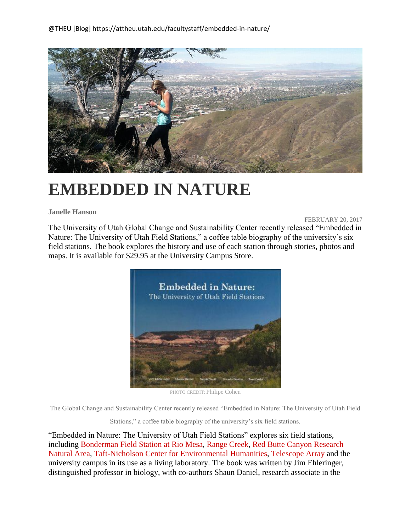

## **EMBEDDED IN NATURE**

## **Janelle Hanson**

FEBRUARY 20, 2017

The University of Utah Global Change and Sustainability Center recently released "Embedded in Nature: The University of Utah Field Stations," a coffee table biography of the university's six field stations. The book explores the history and use of each station through stories, photos and maps. It is available for \$29.95 at the University Campus Store.



PHOTO CREDIT: Philipe Cohen

The Global Change and Sustainability Center recently released "Embedded in Nature: The University of Utah Field

Stations," a coffee table biography of the university's six field stations.

"Embedded in Nature: The University of Utah Field Stations" explores six field stations, including [Bonderman](http://riomesa.utah.edu/) Field Station at Rio Mesa, Range [Creek,](https://nhmu.utah.edu/range-creek) Red Butte Canyon [Research](http://redbuttecanyon.net/) [Natural](http://redbuttecanyon.net/) Area, [Taft-Nicholson](http://taft-nicholson.utah.edu/) Center for Environmental Humanities, [Telescope](http://www.telescopearray.org/) Array and the university campus in its use as a living laboratory. The book was written by Jim Ehleringer, distinguished professor in biology, with co-authors Shaun Daniel, research associate in the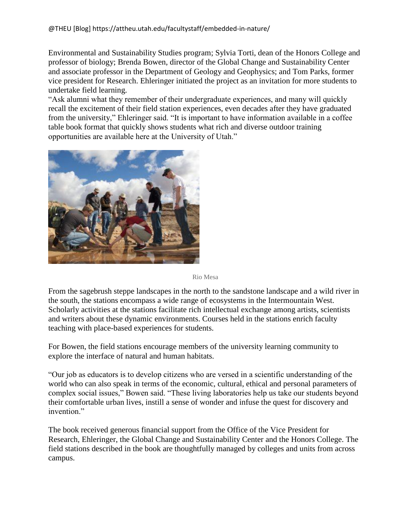Environmental and Sustainability Studies program; Sylvia Torti, dean of the Honors College and professor of biology; Brenda Bowen, director of the Global Change and Sustainability Center and associate professor in the Department of Geology and Geophysics; and Tom Parks, former vice president for Research. Ehleringer initiated the project as an invitation for more students to undertake field learning.

"Ask alumni what they remember of their undergraduate experiences, and many will quickly recall the excitement of their field station experiences, even decades after they have graduated from the university," Ehleringer said. "It is important to have information available in a coffee table book format that quickly shows students what rich and diverse outdoor training opportunities are available here at the University of Utah."



## Rio Mesa

From the sagebrush steppe landscapes in the north to the sandstone landscape and a wild river in the south, the stations encompass a wide range of ecosystems in the Intermountain West. Scholarly activities at the stations facilitate rich intellectual exchange among artists, scientists and writers about these dynamic environments. Courses held in the stations enrich faculty teaching with place-based experiences for students.

For Bowen, the field stations encourage members of the university learning community to explore the interface of natural and human habitats.

"Our job as educators is to develop citizens who are versed in a scientific understanding of the world who can also speak in terms of the economic, cultural, ethical and personal parameters of complex social issues," Bowen said. "These living laboratories help us take our students beyond their comfortable urban lives, instill a sense of wonder and infuse the quest for discovery and invention."

The book received generous financial support from the Office of the Vice President for Research, Ehleringer, the Global Change and Sustainability Center and the Honors College. The field stations described in the book are thoughtfully managed by colleges and units from across campus.